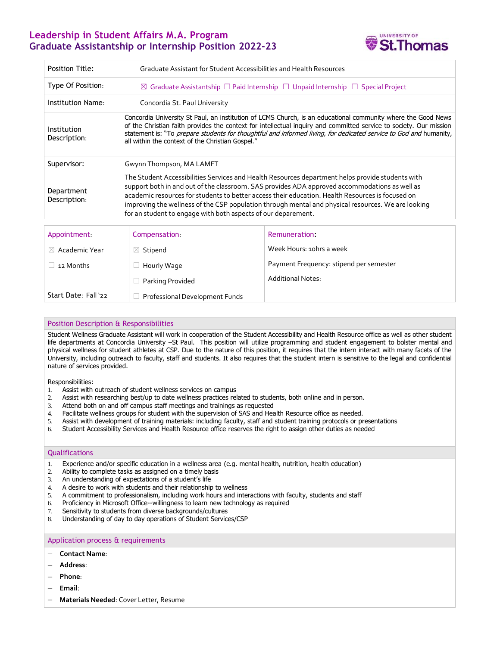# **Leadership in Student Affairs M.A. Program Graduate Assistantship or Internship Position 2022-23**



| <b>Position Title:</b>      | Graduate Assistant for Student Accessibilities and Health Resources                                                                                                                                                                                                                                                                                                                                                                                                          |                                         |
|-----------------------------|------------------------------------------------------------------------------------------------------------------------------------------------------------------------------------------------------------------------------------------------------------------------------------------------------------------------------------------------------------------------------------------------------------------------------------------------------------------------------|-----------------------------------------|
| Type Of Position:           | $\boxtimes$ Graduate Assistantship $\Box$ Paid Internship $\Box$ Unpaid Internship $\Box$ Special Project                                                                                                                                                                                                                                                                                                                                                                    |                                         |
| Institution Name:           | Concordia St. Paul University                                                                                                                                                                                                                                                                                                                                                                                                                                                |                                         |
| Institution<br>Description: | Concordia University St Paul, an institution of LCMS Church, is an educational community where the Good News<br>of the Christian faith provides the context for intellectual inquiry and committed service to society. Our mission<br>statement is: "To prepare students for thoughtful and informed living, for dedicated service to God and humanity,<br>all within the context of the Christian Gospel."                                                                  |                                         |
| Supervisor:                 | Gwynn Thompson, MA LAMFT                                                                                                                                                                                                                                                                                                                                                                                                                                                     |                                         |
| Department<br>Description:  | The Student Accessibilities Services and Health Resources department helps provide students with<br>support both in and out of the classroom. SAS provides ADA approved accommodations as well as<br>academic resources for students to better access their education. Health Resources is focused on<br>improving the wellness of the CSP population through mental and physical resources. We are looking<br>for an student to engage with both aspects of our deparement. |                                         |
|                             |                                                                                                                                                                                                                                                                                                                                                                                                                                                                              |                                         |
| Appointment.                | Compensation:                                                                                                                                                                                                                                                                                                                                                                                                                                                                | Remuneration:                           |
| $\boxtimes$ Academic Year   | $\boxtimes$ Stipend                                                                                                                                                                                                                                                                                                                                                                                                                                                          | Week Hours: 10hrs a week                |
| 12 Months                   | Hourly Wage                                                                                                                                                                                                                                                                                                                                                                                                                                                                  | Payment Frequency: stipend per semester |
|                             | Parking Provided                                                                                                                                                                                                                                                                                                                                                                                                                                                             | <b>Additional Notes:</b>                |
| Start Date: Fall '22        | <b>Professional Development Funds</b>                                                                                                                                                                                                                                                                                                                                                                                                                                        |                                         |

# Position Description & Responsibilities

Student Wellness Graduate Assistant will work in cooperation of the Student Accessibility and Health Resource office as well as other student life departments at Concordia University –St Paul. This position will utilize programming and student engagement to bolster mental and physical wellness for student athletes at CSP. Due to the nature of this position, it requires that the intern interact with many facets of the University, including outreach to faculty, staff and students. It also requires that the student intern is sensitive to the legal and confidential nature of services provided.

Responsibilities:

- 1. Assist with outreach of student wellness services on campus
- 2. Assist with researching best/up to date wellness practices related to students, both online and in person.
- 3. Attend both on and off campus staff meetings and trainings as requested
- 4. Facilitate wellness groups for student with the supervision of SAS and Health Resource office as needed.
- 5. Assist with development of training materials: including faculty, staff and student training protocols or presentations
- 6. Student Accessibility Services and Health Resource office reserves the right to assign other duties as needed

## **Qualifications**

- 1. Experience and/or specific education in a wellness area (e.g. mental health, nutrition, health education)
- 2. Ability to complete tasks as assigned on a timely basis
- 3. An understanding of expectations of a student's life
- 4. A desire to work with students and their relationship to wellness
- 5. A commitment to professionalism, including work hours and interactions with faculty, students and staff
- 6. Proficiency in Microsoft Office--willingness to learn new technology as required
- 7. Sensitivity to students from diverse backgrounds/cultures
- 8. Understanding of day to day operations of Student Services/CSP

#### Application process & requirements

### − **Contact Name**:

- − **Address**:
- − **Phone**:
- − **Email**:
- − **Materials Needed**: Cover Letter, Resume